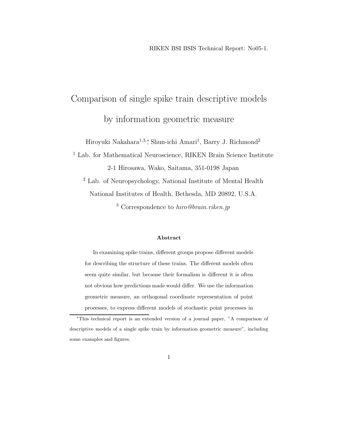# Comparison of single spike train descriptive models by information geometric measure

Hiroyuki Nakahara<sup>1,3,</sup>\*, Shun-ichi Amari<sup>1</sup>, Barry J. Richmond<sup>2</sup>

<sup>1</sup> Lab. for Mathematical Neuroscience, RIKEN Brain Science Institute 2-1 Hirosawa, Wako, Saitama, 351-0198 Japan

<sup>2</sup> Lab. of Neuropsychology, National Institute of Mental Health National Institutes of Health, Bethesda, MD 20892, U.S.A.

<sup>3</sup> Correspondence to *hiro@brain.riken.jp*

#### **Abstract**

In examining spike trains, different groups propose different models for describing the structure of these trains. The different models often seem quite similar, but because their formalism is different it is often not obvious how predictions made would differ. We use the information geometric measure, an orthogonal coordinate representation of point processes, to express different models of stochastic point processes in

<sup>∗</sup>This technical report is an extended version of a journal paper, "A comparison of descriptive models of a single spike train by information geometric measure", including some examples and figures.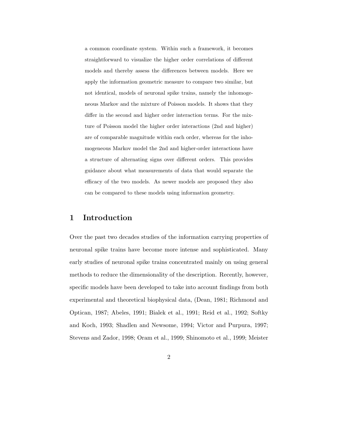a common coordinate system. Within such a framework, it becomes straightforward to visualize the higher order correlations of different models and thereby assess the differences between models. Here we apply the information geometric measure to compare two similar, but not identical, models of neuronal spike trains, namely the inhomogeneous Markov and the mixture of Poisson models. It shows that they differ in the second and higher order interaction terms. For the mixture of Poisson model the higher order interactions (2nd and higher) are of comparable magnitude within each order, whereas for the inhomogeneous Markov model the 2nd and higher-order interactions have a structure of alternating signs over different orders. This provides guidance about what measurements of data that would separate the efficacy of the two models. As newer models are proposed they also can be compared to these models using information geometry.

## **1 Introduction**

Over the past two decades studies of the information carrying properties of neuronal spike trains have become more intense and sophisticated. Many early studies of neuronal spike trains concentrated mainly on using general methods to reduce the dimensionality of the description. Recently, however, specific models have been developed to take into account findings from both experimental and theoretical biophysical data, (Dean, 1981; Richmond and Optican, 1987; Abeles, 1991; Bialek et al., 1991; Reid et al., 1992; Softky and Koch, 1993; Shadlen and Newsome, 1994; Victor and Purpura, 1997; Stevens and Zador, 1998; Oram et al., 1999; Shinomoto et al., 1999; Meister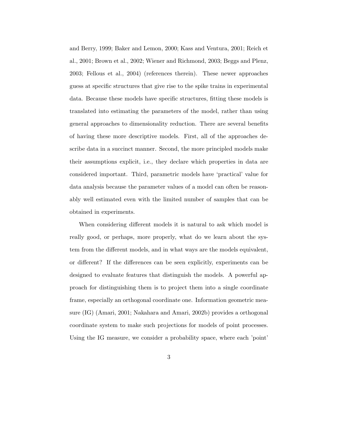and Berry, 1999; Baker and Lemon, 2000; Kass and Ventura, 2001; Reich et al., 2001; Brown et al., 2002; Wiener and Richmond, 2003; Beggs and Plenz, 2003; Fellous et al., 2004) (references therein). These newer approaches guess at specific structures that give rise to the spike trains in experimental data. Because these models have specific structures, fitting these models is translated into estimating the parameters of the model, rather than using general approaches to dimensionality reduction. There are several benefits of having these more descriptive models. First, all of the approaches describe data in a succinct manner. Second, the more principled models make their assumptions explicit, i.e., they declare which properties in data are considered important. Third, parametric models have 'practical' value for data analysis because the parameter values of a model can often be reasonably well estimated even with the limited number of samples that can be obtained in experiments.

When considering different models it is natural to ask which model is really good, or perhaps, more properly, what do we learn about the system from the different models, and in what ways are the models equivalent, or different? If the differences can be seen explicitly, experiments can be designed to evaluate features that distinguish the models. A powerful approach for distinguishing them is to project them into a single coordinate frame, especially an orthogonal coordinate one. Information geometric measure (IG) (Amari, 2001; Nakahara and Amari, 2002b) provides a orthogonal coordinate system to make such projections for models of point processes. Using the IG measure, we consider a probability space, where each 'point'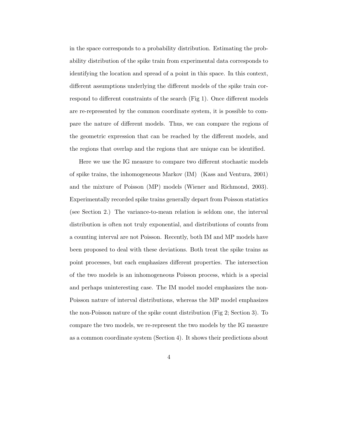in the space corresponds to a probability distribution. Estimating the probability distribution of the spike train from experimental data corresponds to identifying the location and spread of a point in this space. In this context, different assumptions underlying the different models of the spike train correspond to different constraints of the search (Fig 1). Once different models are re-represented by the common coordinate system, it is possible to compare the nature of different models. Thus, we can compare the regions of the geometric expression that can be reached by the different models, and the regions that overlap and the regions that are unique can be identified.

Here we use the IG measure to compare two different stochastic models of spike trains, the inhomogeneous Markov (IM) (Kass and Ventura, 2001) and the mixture of Poisson (MP) models (Wiener and Richmond, 2003). Experimentally recorded spike trains generally depart from Poisson statistics (see Section 2.) The variance-to-mean relation is seldom one, the interval distribution is often not truly exponential, and distributions of counts from a counting interval are not Poisson. Recently, both IM and MP models have been proposed to deal with these deviations. Both treat the spike trains as point processes, but each emphasizes different properties. The intersection of the two models is an inhomogeneous Poisson process, which is a special and perhaps uninteresting case. The IM model model emphasizes the non-Poisson nature of interval distributions, whereas the MP model emphasizes the non-Poisson nature of the spike count distribution (Fig 2; Section 3). To compare the two models, we re-represent the two models by the IG measure as a common coordinate system (Section 4). It shows their predictions about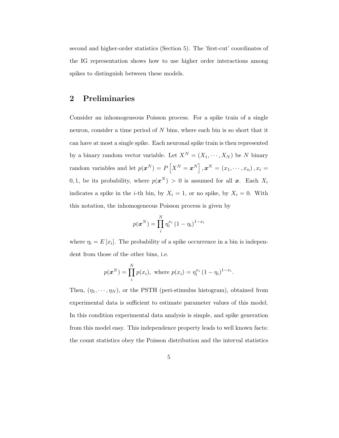second and higher-order statistics (Section 5). The 'first-cut' coordinates of the IG representation shows how to use higher order interactions among spikes to distinguish between these models.

## **2 Preliminaries**

Consider an inhomogeneous Poisson process. For a spike train of a single neuron, consider a time period of N bins, where each bin is so short that it can have at most a single spike. Each neuronal spike train is then represented by a binary random vector variable. Let  $X^N = (X_1, \dots, X_N)$  be N binary random variables and let  $p(\boldsymbol{x}^N) = P\left[X^N = \boldsymbol{x}^N\right], \boldsymbol{x}^N = (x_1, \cdots, x_n), x_i =$ 0, 1, be its probability, where  $p(x^N) > 0$  is assumed for all *x*. Each  $X_i$ indicates a spike in the *i*-th bin, by  $X_i = 1$ , or no spike, by  $X_i = 0$ . With this notation, the inhomogeneous Poisson process is given by

$$
p(\boldsymbol{x}^N) = \prod_i^N \eta_i^{x_i} (1 - \eta_i)^{1 - x_i}
$$

where  $\eta_i = E[x_i]$ . The probability of a spike occurrence in a bin is independent from those of the other bins, i.e.

$$
p(\boldsymbol{x}^N) = \prod_i^N p(x_i)
$$
, where  $p(x_i) = \eta_i^{x_i} (1 - \eta_i)^{1 - x_i}$ .

Then,  $(\eta_1, \dots, \eta_N)$ , or the PSTH (peri-stimulus histogram), obtained from experimental data is sufficient to estimate parameter values of this model. In this condition experimental data analysis is simple, and spike generation from this model easy. This independence property leads to well known facts: the count statistics obey the Poisson distribution and the interval statistics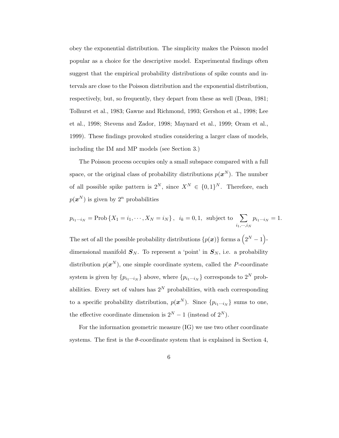obey the exponential distribution. The simplicity makes the Poisson model popular as a choice for the descriptive model. Experimental findings often suggest that the empirical probability distributions of spike counts and intervals are close to the Poisson distribution and the exponential distribution, respectively, but, so frequently, they depart from these as well (Dean, 1981; Tolhurst et al., 1983; Gawne and Richmond, 1993; Gershon et al., 1998; Lee et al., 1998; Stevens and Zador, 1998; Maynard et al., 1999; Oram et al., 1999). These findings provoked studies considering a larger class of models, including the IM and MP models (see Section 3.)

The Poisson process occupies only a small subspace compared with a full space, or the original class of probability distributions  $p(x^N)$ . The number of all possible spike pattern is  $2^N$ , since  $X^N \in \{0,1\}^N$ . Therefore, each  $p(x^N)$  is given by  $2^n$  probabilities

$$
p_{i_1\cdots i_N}
$$
 = Prob { $X_1 = i_1, \cdots, X_N = i_N$ },  $i_k = 0, 1$ , subject to  $\sum_{i_1, \cdots, i_N} p_{i_1\cdots i_N} = 1$ .

The set of all the possible probability distributions  $\{p(\boldsymbol{x})\}$  forms a  $\left(2^N-1\right)$ dimensional manifold  $S_N$ . To represent a 'point' in  $S_N$ , i.e. a probability distribution  $p(x^N)$ , one simple coordinate system, called the P-coordinate system is given by  $\{p_{i_1\cdots i_N}\}$  above, where  $\{p_{i_1\cdots i_N}\}$  corresponds to  $2^N$  probabilities. Every set of values has  $2^N$  probabilities, with each corresponding to a specific probability distribution,  $p(\boldsymbol{x}^N)$ . Since  $\{p_{i_1\cdots i_N}\}$  sums to one, the effective coordinate dimension is  $2^N - 1$  (instead of  $2^N$ ).

For the information geometric measure (IG) we use two other coordinate systems. The first is the  $\theta$ -coordinate system that is explained in Section 4,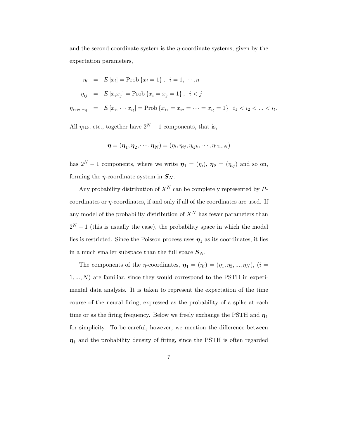and the second coordinate system is the  $\eta$ -coordinate systems, given by the expectation parameters,

$$
\eta_i = E[x_i] = \text{Prob}\{x_i = 1\}, \quad i = 1, \dots, n
$$
\n
$$
\eta_{ij} = E[x_i x_j] = \text{Prob}\{x_i = x_j = 1\}, \quad i < j
$$
\n
$$
\eta_{i_1 i_2 \dots i_l} = E[x_{i_1} \dots x_{i_l}] = \text{Prob}\{x_{i_1} = x_{i_2} = \dots = x_{i_l} = 1\} \quad i_1 < i_2 < \dots < i_l.
$$

All  $\eta_{ijk}$ , etc., together have  $2^N - 1$  components, that is,

$$
\boldsymbol{\eta}=(\boldsymbol{\eta}_1,\boldsymbol{\eta}_2,\cdots,\boldsymbol{\eta}_N)=(\eta_i,\eta_{ij},\eta_{ijk},\cdots,\eta_{12...N})
$$

has  $2^N - 1$  components, where we write  $\boldsymbol{\eta}_1 = (\eta_i)$ ,  $\boldsymbol{\eta}_2 = (\eta_{ij})$  and so on, forming the  $\eta$ -coordinate system in  $S_N$ .

Any probability distribution of  $X^N$  can be completely represented by Pcoordinates or  $\eta$ -coordinates, if and only if all of the coordinates are used. If any model of the probability distribution of  $X^N$  has fewer parameters than  $2^N - 1$  (this is usually the case), the probability space in which the model lies is restricted. Since the Poisson process uses  $\eta_1$  as its coordinates, it lies in a much smaller subspace than the full space  $S_N$ .

The components of the *η*-coordinates,  $\boldsymbol{\eta}_1 = (\eta_1) = (\eta_1, \eta_2, ..., \eta_N)$ ,  $(i =$  $1, ..., N$ ) are familiar, since they would correspond to the PSTH in experimental data analysis. It is taken to represent the expectation of the time course of the neural firing, expressed as the probability of a spike at each time or as the firing frequency. Below we freely exchange the PSTH and  $\eta_1$ for simplicity. To be careful, however, we mention the difference between  $\eta_1$  and the probability density of firing, since the PSTH is often regarded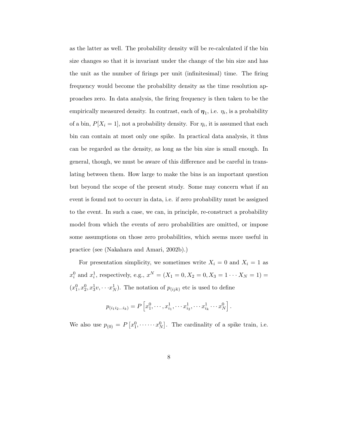as the latter as well. The probability density will be re-calculated if the bin size changes so that it is invariant under the change of the bin size and has the unit as the number of firings per unit (infinitesimal) time. The firing frequency would become the probability density as the time resolution approaches zero. In data analysis, the firing frequency is then taken to be the empirically measured density. In contrast, each of  $\eta_1$ , i.e.  $\eta_i$ , is a probability of a bin,  $P[X_i = 1]$ , not a probability density. For  $\eta_i$ , it is assumed that each bin can contain at most only one spike. In practical data analysis, it thus can be regarded as the density, as long as the bin size is small enough. In general, though, we must be aware of this difference and be careful in translating between them. How large to make the bins is an important question but beyond the scope of the present study. Some may concern what if an event is found not to occurr in data, i.e. if zero probability must be assigned to the event. In such a case, we can, in principle, re-construct a probability model from which the events of zero probabilities are omitted, or impose some assumptions on those zero probabilities, which seems more useful in practice (see (Nakahara and Amari, 2002b).)

For presentation simplicity, we sometimes write  $X_i = 0$  and  $X_i = 1$  as  $x_i^0$  and  $x_i^1$ , respectively, e.g.,  $x^N = (X_1 = 0, X_2 = 0, X_3 = 1 \cdots X_N = 1) =$  $(x_1^0, x_2^0, x_3^1v, \dots, x_N^1)$ . The notation of  $p_{(ijk)}$  etc is used to define

$$
p_{(i_1 i_2 \dots i_k)} = P\left[x_1^0, \dots, x_{i_1}^1, \dots x_{i_2}^1, \dots x_{i_k}^1 \dots x_N^0\right].
$$

We also use  $p_{(0)} = P[x_1^0, \dots, x_N^0]$ . The cardinality of a spike train, i.e.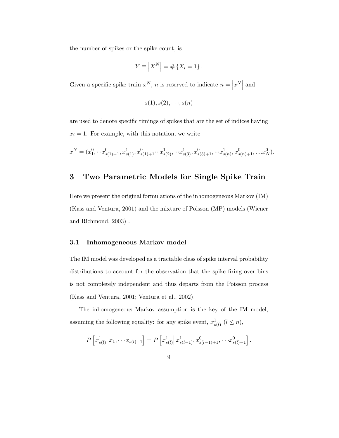the number of spikes or the spike count, is

$$
Y \equiv \left| X^N \right| = \# \left\{ X_i = 1 \right\}.
$$

Given a specific spike train  $x^N$ , n is reserved to indicate  $n = |x^N|$  and

$$
s(1), s(2), \cdot \cdot \cdot, s(n)
$$

are used to denote specific timings of spikes that are the set of indices having  $x_i = 1$ . For example, with this notation, we write

$$
x^N = (x_1^0, \cdots x_{s(1)-1}^0, x_{s(1)}^1, x_{s(1)+1}^0 \cdots x_{s(2)}^1, \cdots x_{s(3)}^1, x_{s(3)+1}^0, \cdots x_{s(n)}^1, x_{s(n)+1}^0, \ldots x_N^0).
$$

## **3 Two Parametric Models for Single Spike Train**

Here we present the original formulations of the inhomogeneous Markov (IM) (Kass and Ventura, 2001) and the mixture of Poisson (MP) models (Wiener and Richmond, 2003) .

#### **3.1 Inhomogeneous Markov model**

The IM model was developed as a tractable class of spike interval probability distributions to account for the observation that the spike firing over bins is not completely independent and thus departs from the Poisson process (Kass and Ventura, 2001; Ventura et al., 2002).

The inhomogeneous Markov assumption is the key of the IM model, assuming the following equality: for any spike event,  $x_{s(l)}^1$   $(l \leq n)$ ,

$$
P\left[x_{s(l)}^1\middle|x_1,\cdots x_{s(l)-1}\right] = P\left[x_{s(l)}^1\middle|x_{s(l-1)}^1,x_{s(l-1)+1}^0,\cdots x_{s(l)-1}^0\right].
$$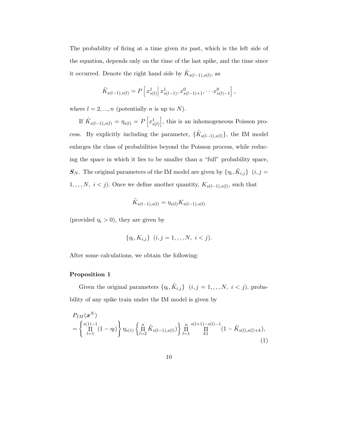The probability of firing at a time given its past, which is the left side of the equation, depends only on the time of the last spike, and the time since it occurred. Denote the right hand side by  $\tilde{K}_{s(l-1),s(l)},$  as

$$
\tilde{K}_{s(l-1),s(l)} = P\left[x_{s(l)}^1 \middle| x_{s(l-1)}^1, x_{s(l-1)+1}^0, \cdots, x_{s(l)-1}^0\right],
$$

where  $l = 2, ..., n$  (potentially *n* is up to *N*).

If  $\tilde{K}_{s(l-1),s(l)} = \eta_{s(l)} = P\left[x_{s(l)}^1\right]$ , this is an inhomogeneous Poisson process. By explicitly including the parameter,  $\{\tilde{K}_{s(l-1),s(l)}\},$  the IM model enlarges the class of probabilities beyond the Poisson process, while reducing the space in which it lies to be smaller than a "full" probability space,  $\mathbf{S}_N$ . The original parameters of the IM model are given by  $\{\eta_i, \tilde{K}_{i,j}\}$   $(i, j = 1, j)$  $1, \ldots, N, i < j$ ). Once we define another quantity,  $K_{s(l-1),s(l)}$ , such that

$$
\tilde{K}_{s(l-1),s(l)} = \eta_{s(l)} K_{s(l-1),s(l)}
$$

(provided  $\eta_i > 0$ ), they are given by

$$
\{\eta_i, K_{i,j}\} \ (i,j = 1, \ldots, N, \ i < j).
$$

After some calculations, we obtain the following:

#### **Proposition 1**

Given the original parameters  $\{\eta_i, \tilde{K}_{i,j}\}\ (i, j = 1, \dots, N, i < j),$  probability of any spike train under the IM model is given by

$$
P_{IM}(\boldsymbol{x}^{N}) = \left\{ \prod_{l=1}^{s(1)-1} (1 - \eta_l) \right\} \eta_{s(1)} \left\{ \prod_{l=2}^{n} \tilde{K}_{s(l-1),s(l)} \right\} \prod_{l=1}^{n} \prod_{k=1}^{s(l+1)-s(l)-1} (1 - \tilde{K}_{s(l),s(l)+k}), \tag{1}
$$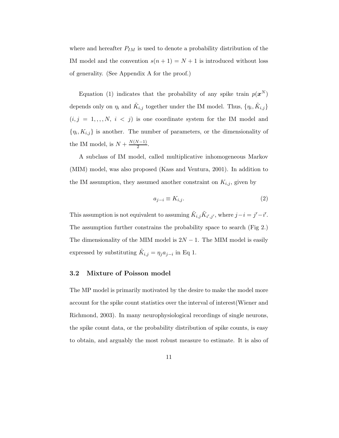where and hereafter  $P_{IM}$  is used to denote a probability distribution of the IM model and the convention  $s(n + 1) = N + 1$  is introduced without loss of generality. (See Appendix A for the proof.)

Equation (1) indicates that the probability of any spike train  $p(x^N)$ depends only on  $\eta_i$  and  $\tilde{K}_{i,j}$  together under the IM model. Thus,  $\{\eta_i, \tilde{K}_{i,j}\}$  $(i, j = 1, \ldots, N, i < j)$  is one coordinate system for the IM model and  $\{\eta_i, K_{i,j}\}\$ is another. The number of parameters, or the dimensionality of the IM model, is  $N + \frac{N(N-1)}{2}$ .

A subclass of IM model, called multiplicative inhomogeneous Markov (MIM) model, was also proposed (Kass and Ventura, 2001). In addition to the IM assumption, they assumed another constraint on  $K_{i,j}$ , given by

$$
a_{j-i} \equiv K_{i,j}.\tag{2}
$$

This assumption is not equivalent to assuming  $\tilde{K}_{i,j}\tilde{K}_{i',j'}$ , where  $j-i=j'-i'$ . The assumption further constrains the probability space to search (Fig 2.) The dimensionality of the MIM model is  $2N - 1$ . The MIM model is easily expressed by substituting  $\tilde{K}_{i,j} = \eta_j a_{j-i}$  in Eq 1.

#### **3.2 Mixture of Poisson model**

The MP model is primarily motivated by the desire to make the model more account for the spike count statistics over the interval of interest(Wiener and Richmond, 2003). In many neurophysiological recordings of single neurons, the spike count data, or the probability distribution of spike counts, is easy to obtain, and arguably the most robust measure to estimate. It is also of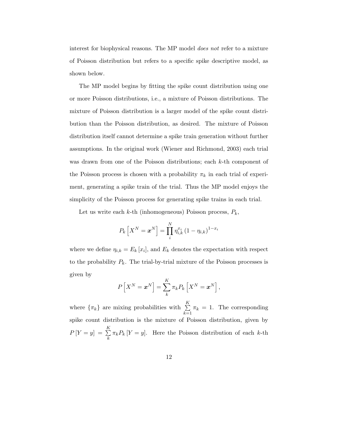interest for biophysical reasons. The MP model *does not* refer to a mixture of Poisson distribution but refers to a specific spike descriptive model, as shown below.

The MP model begins by fitting the spike count distribution using one or more Poisson distributions, i.e., a mixture of Poisson distributions. The mixture of Poisson distribution is a larger model of the spike count distribution than the Poisson distribution, as desired. The mixture of Poisson distribution itself cannot determine a spike train generation without further assumptions. In the original work (Wiener and Richmond, 2003) each trial was drawn from one of the Poisson distributions; each k-th component of the Poisson process is chosen with a probability  $\pi_k$  in each trial of experiment, generating a spike train of the trial. Thus the MP model enjoys the simplicity of the Poisson process for generating spike trains in each trial.

Let us write each  $k$ -th (inhomogeneous) Poisson process,  $P_k$ ,

$$
P_k\left[X^N={\bm{x}}^N\right]=\prod_i^N\eta_{i,k}^{x_i}\left(1-\eta_{i,k}\right)^{1-x_i}
$$

where we define  $\eta_{i,k} = E_k[x_i]$ , and  $E_k$  denotes the expectation with respect to the probability  $P_k$ . The trial-by-trial mixture of the Poisson processes is given by

$$
P\left[X^N = \boldsymbol{x}^N\right] = \sum_{k}^{K} \pi_k P_k \left[X^N = \boldsymbol{x}^N\right],
$$

where  $\{\pi_k\}$  are mixing probabilities with  $\sum K$  $\sum_{k=1}$   $\pi_k = 1$ . The corresponding spike count distribution is the mixture of Poisson distribution, given by  $P[Y = y] = \sum_{i=1}^{K}$  $\sum_{k} \pi_k P_k$  [Y = y]. Here the Poisson distribution of each k-th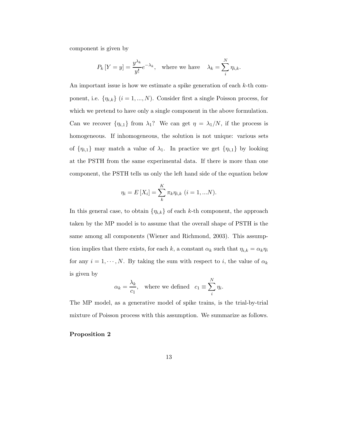component is given by

$$
P_k\left[Y = y\right] = \frac{y^{\lambda_k}}{y!}e^{-\lambda_k}, \quad \text{where we have} \quad \lambda_k = \sum_{i}^{N} \eta_{i,k}.
$$

An important issue is how we estimate a spike generation of each  $k$ -th component, i.e.  $\{\eta_{i,k}\}\ (i=1,...,N)$ . Consider first a single Poisson process, for which we pretend to have only a single component in the above formulation. Can we recover  $\{\eta_{i,1}\}\right\}$  from  $\lambda_1$ ? We can get  $\eta = \lambda_1/N$ , if the process is homogeneous. If inhomogeneous, the solution is not unique: various sets of  $\{\eta_{i,1}\}\$  may match a value of  $\lambda_1$ . In practice we get  $\{\eta_{i,1}\}\$  by looking at the PSTH from the same experimental data. If there is more than one component, the PSTH tells us only the left hand side of the equation below

$$
\eta_i = E[X_i] = \sum_{k}^{K} \pi_k \eta_{i,k} \ (i = 1,...N).
$$

In this general case, to obtain  $\{\eta_{i,k}\}\$  of each k-th component, the approach taken by the MP model is to assume that the overall shape of PSTH is the same among all components (Wiener and Richmond, 2003). This assumption implies that there exists, for each k, a constant  $\alpha_k$  such that  $\eta_{i,k} = \alpha_k \eta_i$ for any  $i = 1, \dots, N$ . By taking the sum with respect to i, the value of  $\alpha_k$ is given by

$$
\alpha_k = \frac{\lambda_k}{c_1}
$$
, where we defined  $c_1 \equiv \sum_i^N \eta_i$ .

The MP model, as a generative model of spike trains, is the trial-by-trial mixture of Poisson process with this assumption. We summarize as follows.

#### **Proposition 2**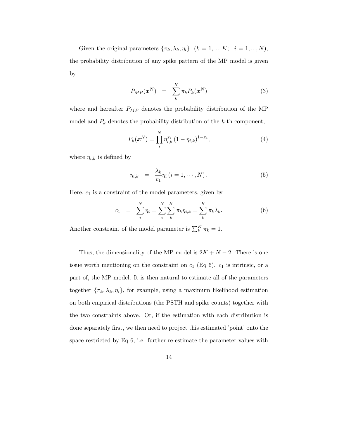Given the original parameters  $\{\pi_k, \lambda_k, \eta_i\}$   $(k = 1, ..., K; i = 1, ..., N)$ , the probability distribution of any spike pattern of the MP model is given by

$$
P_{MP}(\boldsymbol{x}^N) = \sum_{k}^{K} \pi_k P_k(\boldsymbol{x}^N) \tag{3}
$$

where and hereafter  $P_{MP}$  denotes the probability distribution of the MP model and  $P_k$  denotes the probability distribution of the k-th component,

$$
P_k(\boldsymbol{x}^N) = \prod_i^N \eta_{i,k}^{x_i} (1 - \eta_{i,k})^{1 - x_i},
$$
\n(4)

where  $\eta_{i,k}$  is defined by

$$
\eta_{i,k} = \frac{\lambda_k}{c_1} \eta_i \ (i = 1, \cdots, N) \,. \tag{5}
$$

Here,  $c_1$  is a constraint of the model parameters, given by

$$
c_1 = \sum_{i}^{N} \eta_i = \sum_{i}^{N} \sum_{k}^{K} \pi_k \eta_{i,k} = \sum_{k}^{K} \pi_k \lambda_k.
$$
 (6)

Another constraint of the model parameter is  $\sum_{k}^{K} \pi_k = 1$ .

Thus, the dimensionality of the MP model is  $2K + N - 2$ . There is one issue worth mentioning on the constraint on  $c_1$  (Eq 6).  $c_1$  is intrinsic, or a part of, the MP model. It is then natural to estimate all of the parameters together  $\{\pi_k, \lambda_k, \eta_i\}$ , for example, using a maximum likelihood estimation on both empirical distributions (the PSTH and spike counts) together with the two constraints above. Or, if the estimation with each distribution is done separately first, we then need to project this estimated 'point' onto the space restricted by Eq 6, i.e. further re-estimate the parameter values with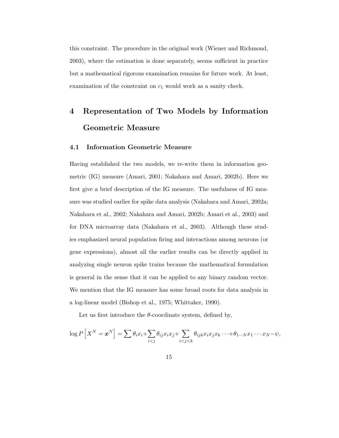this constraint. The procedure in the original work (Wiener and Richmond, 2003), where the estimation is done separately, seems sufficient in practice but a mathematical rigorous examination remains for future work. At least, examination of the constraint on  $c_1$  would work as a sanity check.

## **4 Representation of Two Models by Information Geometric Measure**

#### **4.1 Information Geometric Measure**

Having established the two models, we re-write them in information geometric (IG) measure (Amari, 2001; Nakahara and Amari, 2002b). Here we first give a brief description of the IG measure. The usefulness of IG measure was studied earlier for spike data analysis (Nakahara and Amari, 2002a; Nakahara et al., 2002; Nakahara and Amari, 2002b; Amari et al., 2003) and for DNA microarray data (Nakahara et al., 2003). Although these studies emphasized neural population firing and interactions among neurons (or gene expressions), almost all the earlier results can be directly applied in analyzing single neuron spike trains because the mathematical formulation is general in the sense that it can be applied to any binary random vector. We mention that the IG measure has some broad roots for data analysis in a log-linear model (Bishop et al., 1975; Whittaker, 1990).

Let us first introduce the  $\theta$ -coordinate system, defined by,

$$
\log P\left[X^N = \boldsymbol{x}^N\right] = \sum \theta_i x_i + \sum_{i < j} \theta_{ij} x_i x_j + \sum_{i < j < k} \theta_{ijk} x_i x_j x_k \cdots + \theta_{1 \cdots N} x_1 \cdots x_N - \psi,
$$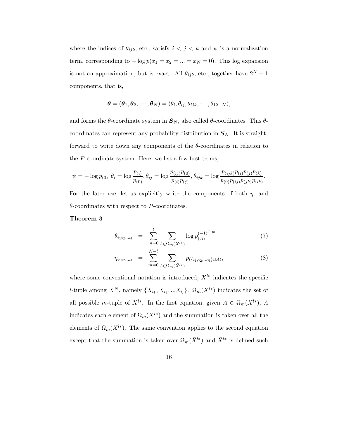where the indices of  $\theta_{ijk}$ , etc., satisfy  $i < j < k$  and  $\psi$  is a normalization term, corresponding to  $-\log p(x_1 = x_2 = ... = x_N = 0)$ . This log expansion is not an approximation, but is exact. All  $\theta_{ijk}$ , etc., together have  $2^N - 1$ components, that is,

$$
\boldsymbol{\theta} = (\boldsymbol{\theta}_1, \boldsymbol{\theta}_2, \cdots, \boldsymbol{\theta}_N) = (\theta_i, \theta_{ij}, \theta_{ijk}, \cdots, \theta_{12...N}),
$$

and forms the  $\theta$ -coordinate system in  $S_N$ , also called  $\theta$ -coordinates. This  $\theta$ coordinates can represent any probability distribution in  $S_N$ . It is straightforward to write down any components of the  $\theta$ -coordinates in relation to the P-coordinate system. Here, we list a few first terms,

$$
\psi = -\log p_{(0)}, \theta_i = \log \frac{p_{(i)}}{p_{(0)}}, \theta_{ij} = \log \frac{p_{(ij)}p_{(0)}}{p_{(i)}p_{(j)}}, \theta_{ijk} = \log \frac{p_{(ijk)}p_{(i)}p_{(j)}p_{(k)}}{p_{(0)}p_{(ijk)}p_{(ik)}}
$$

For the later use, let us explicitly write the components of both  $\eta$ - and  $\theta$ -coordinates with respect to P-coordinates.

#### **Theorem 3**

$$
\theta_{i_1 i_2 \dots i_l} = \sum_{m=0}^{l} \sum_{A \in \Omega_m(X^{l*})} \log p_{(A)}^{(-1)^{l-m}} \tag{7}
$$

.

$$
\eta_{i_1 i_2 \dots i_l} = \sum_{m=0}^{N-l} \sum_{A \in \Omega_m(\bar{X}^{l*})} p_{(\{i_1, i_2, \dots i_l\} \cup A)}, \tag{8}
$$

where some conventional notation is introduced;  $X^{l*}$  indicates the specific l-tuple among  $X^N$ , namely  $\{X_{i_1}, X_{i_2}, ... X_{i_l}\}$ .  $\Omega_m(X^{l*})$  indicates the set of all possible m-tuple of  $X^{l*}$ . In the first equation, given  $A \in \Omega_m(X^{l*})$ , A indicates each element of  $\Omega_m(X^{l*})$  and the summation is taken over all the elements of  $\Omega_m(X^{l*})$ . The same convention applies to the second equation except that the summation is taken over  $\Omega_m(\bar X^{l*})$  and  $\bar X^{l*}$  is defined such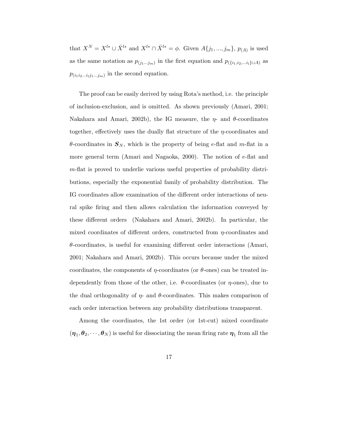that  $X^N = X^{l*} \cup \bar{X}^{l*}$  and  $X^{l*} \cap \bar{X}^{l*} = \phi$ . Given  $A\{j_1, ..., j_m\}$ ,  $p_{(A)}$  is used as the same notation as  $p_{(j_1...j_m)}$  in the first equation and  $p_{(\{i_1,i_2,...i_l\}\cup A)}$  as  $p_{(i_1i_2...i_lj_1...j_m)}$  in the second equation.

The proof can be easily derived by using Rota's method, i.e. the principle of inclusion-exclusion, and is omitted. As shown previously (Amari, 2001; Nakahara and Amari, 2002b), the IG measure, the  $\eta$ - and  $\theta$ -coordinates together, effectively uses the dually flat structure of the  $\eta$ -coordinates and  $\theta$ -coordinates in  $S_N$ , which is the property of being e-flat and m-flat in a more general term (Amari and Nagaoka, 2000). The notion of e-flat and m-flat is proved to underlie various useful properties of probability distributions, especially the exponential family of probability distribution. The IG coordinates allow examination of the different order interactions of neural spike firing and then allows calculation the information conveyed by these different orders (Nakahara and Amari, 2002b). In particular, the mixed coordinates of different orders, constructed from  $\eta$ -coordinates and  $\theta$ -coordinates, is useful for examining different order interactions (Amari, 2001; Nakahara and Amari, 2002b). This occurs because under the mixed coordinates, the components of  $\eta$ -coordinates (or  $\theta$ -ones) can be treated independently from those of the other, i.e.  $\theta$ -coordinates (or  $\eta$ -ones), due to the dual orthogonality of  $\eta$ - and  $\theta$ -coordinates. This makes comparison of each order interaction between any probability distributions transparent.

Among the coordinates, the 1st order (or 1st-cut) mixed coordinate  $(\eta_1, \theta_2, \cdots, \theta_N)$  is useful for dissociating the mean firing rate  $\eta_1$  from all the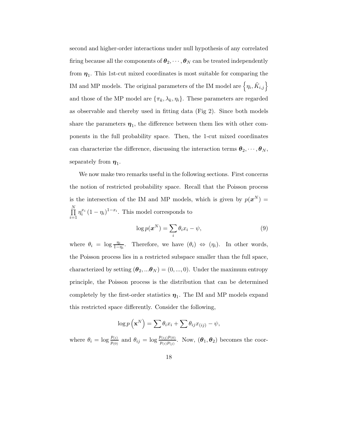second and higher-order interactions under null hypothesis of any correlated firing because all the components of  $\boldsymbol{\theta}_2, \dots, \boldsymbol{\theta}_N$  can be treated independently from  $\eta_1$ . This 1st-cut mixed coordinates is most suitable for comparing the IM and MP models. The original parameters of the IM model are  $\left\{\eta_i, \tilde{K}_{i,j}\right\}$ and those of the MP model are  $\{\pi_k, \lambda_k, \eta_i\}$ . These parameters are regarded as observable and thereby used in fitting data (Fig 2). Since both models share the parameters  $\eta_1$ , the difference between them lies with other components in the full probability space. Then, the 1-cut mixed coordinates can characterize the difference, discussing the interaction terms  $\theta_2, \dots, \theta_N$ , separately from  $\eta_1$ .

We now make two remarks useful in the following sections. First concerns the notion of restricted probability space. Recall that the Poisson process is the intersection of the IM and MP models, which is given by  $p(x^N)$  $\prod^N$  $i=1$  $\eta_i^{x_i} (1 - \eta_i)^{1 - x_i}$ . This model corresponds to

$$
\log p(\boldsymbol{x}^N) = \sum_i \theta_i x_i - \psi,\tag{9}
$$

where  $\theta_i = \log \frac{\eta_i}{1-\eta_i}$ . Therefore, we have  $(\theta_i) \Leftrightarrow (\eta_i)$ . In other words, the Poisson process lies in a restricted subspace smaller than the full space, characterized by setting  $(\boldsymbol{\theta}_2, ... \boldsymbol{\theta}_N) = (0, ..., 0)$ . Under the maximum entropy principle, the Poisson process is the distribution that can be determined completely by the first-order statistics  $\eta_1$ . The IM and MP models expand this restricted space differently. Consider the following,

$$
\log p\left(\mathbf{x}^N\right) = \sum \theta_i x_i + \sum \theta_{ij} x_{(ij)} - \psi,
$$

where  $\theta_i = \log \frac{p_{(i)}}{p_{(0)}}$  and  $\theta_{ij} = \log \frac{p_{(ij)}p_{(0)}}{p_{(i)}p_{(j)}}$ . Now,  $(\theta_1, \theta_2)$  becomes the coor-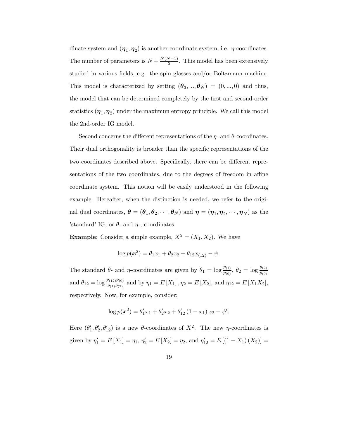dinate system and  $(\eta_1, \eta_2)$  is another coordinate system, i.e.  $\eta$ -coordinates. The number of parameters is  $N + \frac{N(N-1)}{2}$ . This model has been extensively studied in various fields, e.g. the spin glasses and/or Boltzmann machine. This model is characterized by setting  $(\theta_3, ..., \theta_N) = (0, ..., 0)$  and thus, the model that can be determined completely by the first and second-order statistics  $(\eta_1, \eta_2)$  under the maximum entropy principle. We call this model the 2nd-order IG model.

Second concerns the different representations of the  $\eta$ - and  $\theta$ -coordinates. Their dual orthogonality is broader than the specific representations of the two coordinates described above. Specifically, there can be different representations of the two coordinates, due to the degrees of freedom in affine coordinate system. This notion will be easily understood in the following example. Hereafter, when the distinction is needed, we refer to the original dual coordinates,  $\boldsymbol{\theta} = (\theta_1, \theta_2, \dots, \theta_N)$  and  $\boldsymbol{\eta} = (\boldsymbol{\eta}_1, \boldsymbol{\eta}_2, \dots, \boldsymbol{\eta}_N)$  as the 'standard' IG, or  $\theta$ - and  $\eta$ -, coordinates.

**Example**: Consider a simple example,  $X^2 = (X_1, X_2)$ . We have

$$
\log p(\boldsymbol{x}^2) = \theta_1 x_1 + \theta_2 x_2 + \theta_1 x_1 x_2 - \psi.
$$

The standard  $\theta$ - and  $\eta$ -coordinates are given by  $\theta_1 = \log \frac{p_{(1)}}{p_{(0)}}, \theta_2 = \log \frac{p_{(2)}}{p_{(0)}}$ and  $\theta_{12} = \log \frac{p_{(12)}p_{(0)}}{p_{(1)}p_{(2)}}$  and by  $\eta_1 = E[X_1], \eta_2 = E[X_2]$ , and  $\eta_{12} = E[X_1X_2]$ , respectively. Now, for example, consider:

$$
\log p(\mathbf{x}^2) = \theta'_1 x_1 + \theta'_2 x_2 + \theta'_1 x_2 (1 - x_1) x_2 - \psi'.
$$

Here  $(\theta_1', \theta_2', \theta_{12}')$  is a new  $\theta$ -coordinates of  $X^2$ . The new  $\eta$ -coordinates is given by  $\eta_1' = E[X_1] = \eta_1$ ,  $\eta_2' = E[X_2] = \eta_2$ , and  $\eta_{12}' = E[(1 - X_1)(X_2)] =$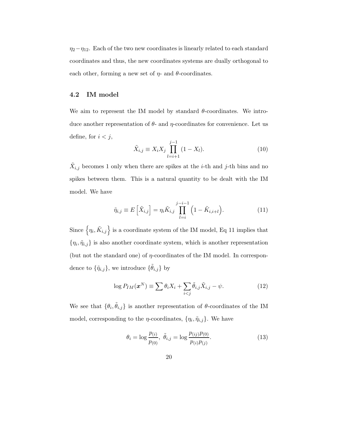$\eta_2-\eta_{12}$ . Each of the two new coordinates is linearly related to each standard coordinates and thus, the new coordinates systems are dually orthogonal to each other, forming a new set of  $\eta$ - and  $\theta$ -coordinates.

#### **4.2 IM model**

We aim to represent the IM model by standard  $\theta$ -coordinates. We introduce another representation of  $\theta$ - and  $\eta$ -coordinates for convenience. Let us define, for  $i < j$ ,

$$
\tilde{X}_{i,j} \equiv X_i X_j \prod_{l=i+1}^{j-1} (1 - X_l). \tag{10}
$$

 $\tilde{X}_{i,j}$  becomes 1 only when there are spikes at the *i*-th and *j*-th bins and no spikes between them. This is a natural quantity to be dealt with the IM model. We have

$$
\tilde{\eta}_{i,j} \equiv E\left[\tilde{X}_{i,j}\right] = \eta_i \tilde{K}_{i,j} \prod_{l=i}^{j-i-1} \left(1 - \tilde{K}_{i,i+l}\right). \tag{11}
$$

Since  $\left\{\eta_i, \tilde{K}_{i,j}\right\}$  is a coordinate system of the IM model, Eq 11 implies that  $\{\eta_i, \tilde{\eta}_{i,j}\}\$ is also another coordinate system, which is another representation (but not the standard one) of  $\eta$ -coordinates of the IM model. In correspondence to  $\{\tilde{\eta}_{i,j}\},$  we introduce  $\{\tilde{\theta}_{i,j}\}$  by

$$
\log P_{IM}(\boldsymbol{x}^N) \equiv \sum \theta_i X_i + \sum_{i < j} \tilde{\theta}_{i,j} \tilde{X}_{i,j} - \psi. \tag{12}
$$

We see that  $\{\theta_i, \tilde{\theta}_{i,j}\}$  is another representation of  $\theta$ -coordinates of the IM model, corresponding to the  $\eta$ -coordinates,  $\{\eta_i, \tilde{\eta}_{i,j}\}$ . We have

$$
\theta_i = \log \frac{p_{(i)}}{p_{(0)}}, \ \tilde{\theta}_{i,j} = \log \frac{p_{(ij)}p_{(0)}}{p_{(i)}p_{(j)}}.
$$
\n(13)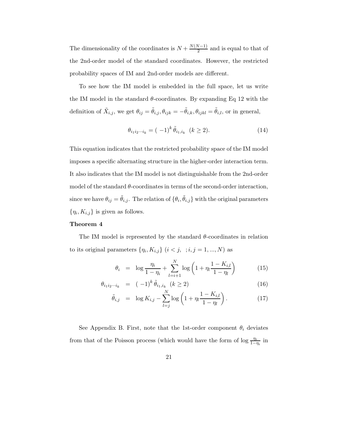The dimensionality of the coordinates is  $N + \frac{N(N-1)}{2}$  and is equal to that of the 2nd-order model of the standard coordinates. However, the restricted probability spaces of IM and 2nd-order models are different.

To see how the IM model is embedded in the full space, let us write the IM model in the standard  $\theta$ -coordinates. By expanding Eq 12 with the definition of  $\tilde{X}_{i,j}$ , we get  $\theta_{ij} = \tilde{\theta}_{i,j}, \theta_{ijk} = -\tilde{\theta}_{i,k}, \theta_{ijkl} = \tilde{\theta}_{i,l}$ , or in general,

$$
\theta_{i_1 i_2 \cdots i_k} = (-1)^k \tilde{\theta}_{i_1, i_k} \quad (k \ge 2). \tag{14}
$$

This equation indicates that the restricted probability space of the IM model imposes a specific alternating structure in the higher-order interaction term. It also indicates that the IM model is not distinguishable from the 2nd-order model of the standard  $\theta$ -coordinates in terms of the second-order interaction, since we have  $\theta_{ij} = \tilde{\theta}_{i,j}$ . The relation of  $\{\theta_i, \tilde{\theta}_{i,j}\}$  with the original parameters  $\{\eta_i, K_{i,j}\}\$ is given as follows.

#### **Theorem 4**

The IM model is represented by the standard  $\theta$ -coordinates in relation to its original parameters  $\{\eta_i, K_{i,j}\}$   $(i < j, j = 1, ..., N)$  as

$$
\theta_i = \log \frac{\eta_i}{1 - \eta_i} + \sum_{l=i+1}^{N} \log \left( 1 + \eta_l \frac{1 - K_{i,l}}{1 - \eta_l} \right) \tag{15}
$$

$$
\theta_{i_1 i_2 \cdots i_k} = (-1)^k \tilde{\theta}_{i_1, i_k} \ (k \ge 2)
$$
\n(16)

$$
\tilde{\theta}_{i,j} = \log K_{i,j} - \sum_{l=j}^{N} \log \left( 1 + \eta_l \frac{1 - K_{i,l}}{1 - \eta_l} \right). \tag{17}
$$

See Appendix B. First, note that the 1st-order component  $\theta_i$  deviates from that of the Poisson process (which would have the form of  $\log \frac{\eta_i}{1-\eta_i}$  in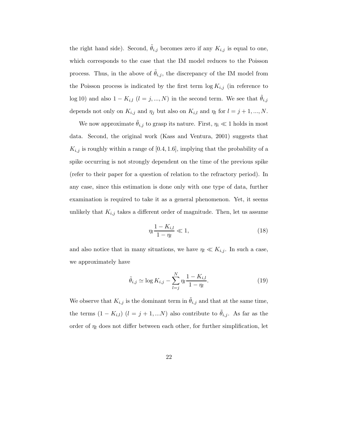the right hand side). Second,  $\tilde{\theta}_{i,j}$  becomes zero if any  $K_{i,j}$  is equal to one, which corresponds to the case that the IM model reduces to the Poisson process. Thus, in the above of  $\theta_{i,j}$ , the discrepancy of the IM model from the Poisson process is indicated by the first term  $\log K_{i,j}$  (in reference to log 10) and also  $1 - K_{i,l}$   $(l = j, ..., N)$  in the second term. We see that  $\tilde{\theta}_{i,j}$ depends not only on  $K_{i,j}$  and  $\eta_j$  but also on  $K_{i,l}$  and  $\eta_l$  for  $l = j + 1, ..., N$ .

We now approximate  $\tilde{\theta}_{i,j}$  to grasp its nature. First,  $\eta_i \ll 1$  holds in most data. Second, the original work (Kass and Ventura, 2001) suggests that  $K_{i,j}$  is roughly within a range of [0.4, 1.6], implying that the probability of a spike occurring is not strongly dependent on the time of the previous spike (refer to their paper for a question of relation to the refractory period). In any case, since this estimation is done only with one type of data, further examination is required to take it as a general phenomenon. Yet, it seems unlikely that  $K_{i,j}$  takes a different order of magnitude. Then, let us assume

$$
\eta_l \frac{1 - K_{i,l}}{1 - \eta_l} \ll 1,\tag{18}
$$

and also notice that in many situations, we have  $\eta_l \ll K_{i,j}$ . In such a case, we approximately have

$$
\tilde{\theta}_{i,j} \simeq \log K_{i,j} - \sum_{l=j}^{N} \eta_l \frac{1 - K_{i,l}}{1 - \eta_l}.
$$
\n(19)

We observe that  $K_{i,j}$  is the dominant term in  $\tilde{\theta}_{i,j}$  and that at the same time, the terms  $(1 - K_{i,l})$   $(l = j + 1,...N)$  also contribute to  $\tilde{\theta}_{i,j}$ . As far as the order of  $\eta_l$  does not differ between each other, for further simplification, let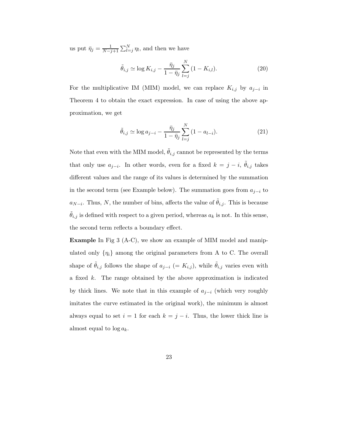us put  $\bar{\eta}_j = \frac{1}{N-j+1} \sum_{l=j}^{N} \eta_l$ , and then we have

$$
\tilde{\theta}_{i,j} \simeq \log K_{i,j} - \frac{\bar{\eta}_j}{1 - \bar{\eta}_j} \sum_{l=j}^{N} (1 - K_{i,l}).
$$
\n(20)

For the multiplicative IM (MIM) model, we can replace  $K_{i,j}$  by  $a_{j-i}$  in Theorem 4 to obtain the exact expression. In case of using the above approximation, we get

$$
\tilde{\theta}_{i,j} \simeq \log a_{j-i} - \frac{\bar{\eta}_j}{1 - \bar{\eta}_j} \sum_{l=j}^{N} (1 - a_{l-i}).
$$
\n(21)

Note that even with the MIM model,  $\ddot{\theta}_{i,j}$  cannot be represented by the terms that only use  $a_{j-i}$ . In other words, even for a fixed  $k = j - i$ ,  $\tilde{\theta}_{i,j}$  takes different values and the range of its values is determined by the summation in the second term (see Example below). The summation goes from  $a_{j-i}$  to  $a_{N-i}$ . Thus, N, the number of bins, affects the value of  $\tilde{\theta}_{i,j}$ . This is because  $\dot{\theta}_{i,j}$  is defined with respect to a given period, whereas  $a_k$  is not. In this sense, the second term reflects a boundary effect.

**Example** In Fig 3 (A-C), we show an example of MIM model and manipulated only  $\{\eta_i\}$  among the original parameters from A to C. The overall shape of  $\tilde{\theta}_{i,j}$  follows the shape of  $a_{j-i}$  (=  $K_{i,j}$ ), while  $\tilde{\theta}_{i,j}$  varies even with a fixed  $k$ . The range obtained by the above approximation is indicated by thick lines. We note that in this example of  $a_{j-i}$  (which very roughly imitates the curve estimated in the original work), the minimum is almost always equal to set  $i = 1$  for each  $k = j - i$ . Thus, the lower thick line is almost equal to  $\log a_k$ .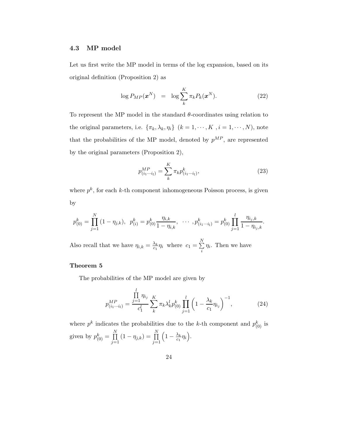#### **4.3 MP model**

Let us first write the MP model in terms of the log expansion, based on its original definition (Proposition 2) as

$$
\log P_{MP}(\boldsymbol{x}^N) = \log \sum_{k}^{K} \pi_k P_k(\boldsymbol{x}^N). \tag{22}
$$

To represent the MP model in the standard  $\theta$ -coordinates using relation to the original parameters, i.e.  $\{\pi_k, \lambda_k, \eta_i\}$   $(k = 1, \dots, K, i = 1, \dots, N)$ , note that the probabilities of the MP model, denoted by  $p^{MP}$ , are represented by the original parameters (Proposition 2),

$$
p_{(i_1\cdots i_l)}^{MP} = \sum_{k}^{K} \pi_k p_{(i_1\cdots i_l)}^k,
$$
\n(23)

where  $p^k$ , for each k-th component inhomogeneous Poisson process, is given by

$$
p_{(0)}^k = \prod_{j=1}^N (1 - \eta_{j,k}), \ \ p_{(i)}^k = p_{(0)}^k \frac{\eta_{i,k}}{1 - \eta_{i,k}}, \ \ \cdots \ , p_{(i_1 \cdots i_l)}^k = p_{(0)}^k \prod_{j=1}^l \frac{\eta_{i_j,k}}{1 - \eta_{i_j,k}}.
$$

Also recall that we have  $\eta_{i,k} = \frac{\lambda_k}{c_1} \eta_i$  where  $c_1 = \sum_{i=1}^{N} a_i$  $\sum_{i} \eta_i$ . Then we have

#### **Theorem 5**

The probabilities of the MP model are given by

$$
p_{(i_1\cdots i_l)}^{MP} = \frac{\prod\limits_{j=1}^{l} \eta_{i_j}}{c_1^l} \sum\limits_{k}^{K} \pi_k \lambda_k^l p_{(0)}^k \prod\limits_{j=1}^{l} \left(1 - \frac{\lambda_k}{c_1} \eta_{i_j}\right)^{-1},
$$
 (24)

where  $p^k$  indicates the probabilities due to the k-th component and  $p_{(0)}^k$  is given by  $p_{(0)}^k = \prod_{i=1}^N$  $\prod_{j=1}^{N} (1 - \eta_{j,k}) = \prod_{j=1}^{N}$  $j=1$  $\left(1-\frac{\lambda_k}{c_1}\eta_i\right).$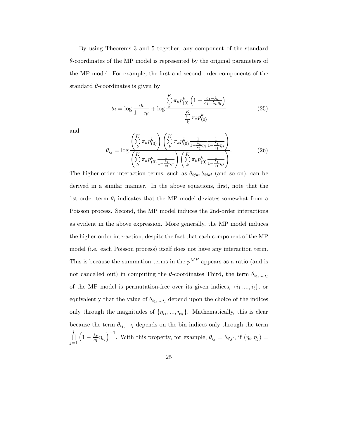By using Theorems 3 and 5 together, any component of the standard  $\theta$ -coordinates of the MP model is represented by the original parameters of the MP model. For example, the first and second order components of the standard  $\theta$ -coordinates is given by

$$
\theta_{i} = \log \frac{\eta_{i}}{1 - \eta_{i}} + \log \frac{\sum_{k}^{K} \pi_{k} p_{(0)}^{k} \left(1 - \frac{c_{1} - \lambda_{k}}{c_{1} - \lambda_{k} \eta_{i}}\right)}{\sum_{k}^{K} \pi_{k} p_{(0)}^{k}}
$$
(25)

and

$$
\theta_{ij} = \log \frac{\left(\sum_{k}^{K} \pi_{k} p_{(0)}^{k}\right) \left(\sum_{k}^{K} \pi_{k} p_{(0)}^{k}\frac{1}{1 - \frac{\lambda_{k}}{c_{1}} \eta_{i}} \frac{1}{1 - \frac{\lambda_{k}}{c_{1}} \eta_{j}}\right)}{\left(\sum_{k}^{K} \pi_{k} p_{(0)}^{k}\frac{1}{1 - \frac{\lambda_{k}}{c_{1}} \eta_{i}}\right) \left(\sum_{k}^{K} \pi_{k} p_{(0)}^{k}\frac{1}{1 - \frac{\lambda_{k}}{c_{1}} \eta_{j}}\right)}.
$$
(26)

The higher-order interaction terms, such as  $\theta_{ijk}, \theta_{ijkl}$  (and so on), can be derived in a similar manner. In the above equations, first, note that the 1st order term  $\theta_i$  indicates that the MP model deviates somewhat from a Poisson process. Second, the MP model induces the 2nd-order interactions as evident in the above expression. More generally, the MP model induces the higher-order interaction, despite the fact that each component of the MP model (i.e. each Poisson process) itself does not have any interaction term. This is because the summation terms in the  $p^{MP}$  appears as a ratio (and is not cancelled out) in computing the  $\theta$ -coordinates Third, the term  $\theta_{i_1,\dots,i_l}$ of the MP model is permutation-free over its given indices,  $\{i_1, ..., i_l\}$ , or equivalently that the value of  $\theta_{i_1,\dots,i_l}$  depend upon the choice of the indices only through the magnitudes of  $\{\eta_{i_1}, ..., \eta_{i_l}\}$ . Mathematically, this is clear because the term  $\theta_{i_1,\dots,i_l}$  depends on the bin indices only through the term  $\prod$  $j=1$  $\left(1-\frac{\lambda_k}{c_1}\eta_{i_j}\right)^{-1}$ . With this property, for example,  $\theta_{ij}=\theta_{i'j'}$ , if  $(\eta_i, \eta_j)=$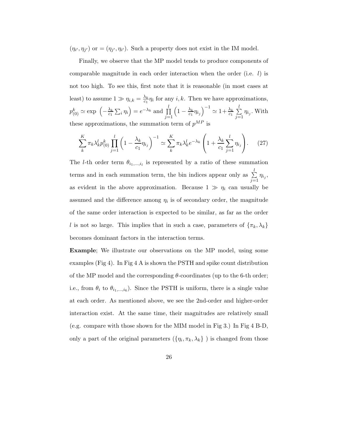$(\eta_{i'}, \eta_{j'})$  or  $=(\eta_{j'}, \eta_{i'})$ . Such a property does not exist in the IM model.

Finally, we observe that the MP model tends to produce components of comparable magnitude in each order interaction when the order (i.e.  $l$ ) is not too high. To see this, first note that it is reasonable (in most cases at least) to assume  $1 \gg \eta_{i,k} = \frac{\lambda_k}{c_1} \eta_i$  for any  $i, k$ . Then we have approximations,  $p_{(0)}^k \simeq \exp \left(-\frac{\lambda_k}{c_1} \sum_i \eta_i\right) = e^{-\lambda_k}$  and  $\prod_{i=1}^l$  $j=1$  $\left(1-\frac{\lambda_k}{c_1}\eta_{i_j}\right)^{-1} \simeq 1+\frac{\lambda_k}{c_1}\sum_{i=1}^l$  $\sum\limits_{j=1} \eta_{i_j}.$  With these approximations, the summation term of  $p^{MP}$  is

$$
\sum_{k}^{K} \pi_{k} \lambda_{k}^{l} p_{(0)}^{k} \prod_{j=1}^{l} \left( 1 - \frac{\lambda_{k}}{c_{1}} \eta_{i_{j}} \right)^{-1} \simeq \sum_{k}^{K} \pi_{k} \lambda_{k}^{l} e^{-\lambda_{k}} \left( 1 + \frac{\lambda_{k}}{c_{1}} \sum_{j=1}^{l} \eta_{i_{j}} \right). \tag{27}
$$

The *l*-th order term  $\theta_{i_1,\dots,i_l}$  is represented by a ratio of these summation terms and in each summation term, the bin indices appear only as  $\sum_{i=1}^{l}$  $\sum_{j=1} \eta_{i_j},$ as evident in the above approximation. Because  $1 \gg \eta_i$  can usually be assumed and the difference among  $\eta_i$  is of secondary order, the magnitude of the same order interaction is expected to be similar, as far as the order l is not so large. This implies that in such a case, parameters of  $\{\pi_k, \lambda_k\}$ becomes dominant factors in the interaction terms.

**Example**; We illustrate our observations on the MP model, using some examples (Fig 4). In Fig 4 A is shown the PSTH and spike count distribution of the MP model and the corresponding θ-coordinates (up to the 6-th order; i.e., from  $\theta_i$  to  $\theta_{i_1,\dots,i_6}$ ). Since the PSTH is uniform, there is a single value at each order. As mentioned above, we see the 2nd-order and higher-order interaction exist. At the same time, their magnitudes are relatively small (e.g. compare with those shown for the MIM model in Fig 3.) In Fig 4 B-D, only a part of the original parameters  $(\{\eta_i, \pi_k, \lambda_k\})$  is changed from those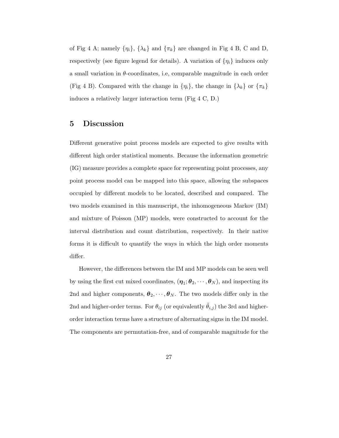of Fig 4 A; namely  $\{\eta_i\}$ ,  $\{\lambda_k\}$  and  $\{\pi_k\}$  are changed in Fig 4 B, C and D, respectively (see figure legend for details). A variation of  $\{\eta_i\}$  induces only a small variation in  $\theta$ -coordinates, i.e, comparable magnitude in each order (Fig 4 B). Compared with the change in  $\{\eta_i\}$ , the change in  $\{\lambda_k\}$  or  $\{\pi_k\}$ induces a relatively larger interaction term (Fig 4 C, D.)

## **5 Discussion**

Different generative point process models are expected to give results with different high order statistical moments. Because the information geometric (IG) measure provides a complete space for representing point processes, any point process model can be mapped into this space, allowing the subspaces occupied by different models to be located, described and compared. The two models examined in this manuscript, the inhomogeneous Markov (IM) and mixture of Poisson (MP) models, were constructed to account for the interval distribution and count distribution, respectively. In their native forms it is difficult to quantify the ways in which the high order moments differ.

However, the differences between the IM and MP models can be seen well by using the first cut mixed coordinates,  $(\eta_1; \theta_2, \dots, \theta_N)$ , and inspecting its 2nd and higher components,  $\boldsymbol{\theta}_2, \dots, \boldsymbol{\theta}_N$ . The two models differ only in the 2nd and higher-order terms. For  $\theta_{ij}$  (or equivalently  $\tilde{\theta}_{i,j}$ ) the 3rd and higherorder interaction terms have a structure of alternating signs in the IM model. The components are permutation-free, and of comparable magnitude for the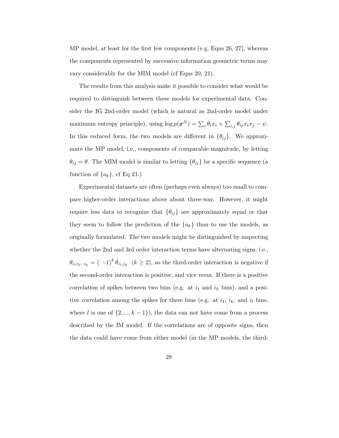MP model, at least for the first few components (e.g, Eqns 26, 27), whereas the components represented by successive information geometric terms may vary considerably for the MIM model (cf Eqns 20, 21).

The results from this analysis make it possible to consider what would be required to distinguish between these models for experimental data. Consider the IG 2nd-order model (which is natural as 2nd-order model under maximum entropy principle), using  $\log p(\boldsymbol{x}^N) = \sum_i \theta_i x_i + \sum_{i,j} \theta_{ij} x_i x_j - \psi$ . In this reduced form, the two models are different in  $\{\theta_{ij}\}$ . We approximate the MP model, i.e., components of comparable magnitude, by letting  $\theta_{ij} = \theta$ . The MIM model is similar to letting  $\{\theta_{ij}\}\$ be a specific sequence (a function of  $\{a_k\}$ , cf Eq 21.)

Experimental datasets are often (perhaps even always) too small to compare higher-order interactions above about three-way. However, it might require less data to recognize that  $\{\theta_{ij}\}\$ are approximately equal or that they seem to follow the prediction of the  ${a_k}$  than to use the models, as originally formulated. The two models might be distinguished by inspecting whether the 2nd and 3rd order interaction terms have alternating signs, i.e.,  $\theta_{i_1i_2\cdots i_k} = (-1)^k \tilde{\theta}_{i_1,i_k}$   $(k \geq 2)$ , so the third-order interaction is negative if the second-order interaction is positive, and vice versa. If there is a positive correlation of spikes between two bins (e.g. at  $i_1$  and  $i_k$  bins), and a positive correlation among the spikes for three bins (e.g. at  $i_1$ ,  $i_k$ , and  $i_l$  bins, where l is one of  $\{2, ..., k-1\}$ , the data can not have come from a process described by the IM model. If the correlations are of opposite signs, then the data could have come from either model (in the MP models, the third-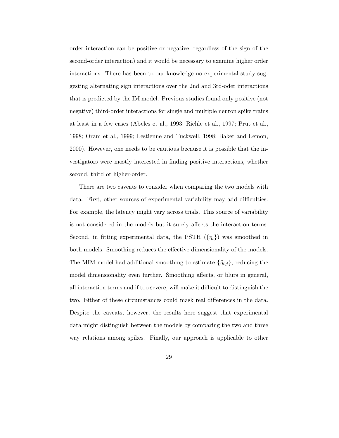order interaction can be positive or negative, regardless of the sign of the second-order interaction) and it would be necessary to examine higher order interactions. There has been to our knowledge no experimental study suggesting alternating sign interactions over the 2nd and 3rd-oder interactions that is predicted by the IM model. Previous studies found only positive (not negative) third-order interactions for single and multiple neuron spike trains at least in a few cases (Abeles et al., 1993; Riehle et al., 1997; Prut et al., 1998; Oram et al., 1999; Lestienne and Tuckwell, 1998; Baker and Lemon, 2000). However, one needs to be cautious because it is possible that the investigators were mostly interested in finding positive interactions, whether second, third or higher-order.

There are two caveats to consider when comparing the two models with data. First, other sources of experimental variability may add difficulties. For example, the latency might vary across trials. This source of variability is not considered in the models but it surely affects the interaction terms. Second, in fitting experimental data, the PSTH  $(\{\eta_i\})$  was smoothed in both models. Smoothing reduces the effective dimensionality of the models. The MIM model had additional smoothing to estimate  $\{\tilde{\eta}_{i,j}\}\$ , reducing the model dimensionality even further. Smoothing affects, or blurs in general, all interaction terms and if too severe, will make it difficult to distinguish the two. Either of these circumstances could mask real differences in the data. Despite the caveats, however, the results here suggest that experimental data might distinguish between the models by comparing the two and three way relations among spikes. Finally, our approach is applicable to other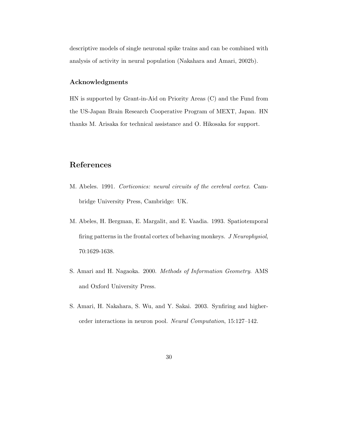descriptive models of single neuronal spike trains and can be combined with analysis of activity in neural population (Nakahara and Amari, 2002b).

#### **Acknowledgments**

HN is supported by Grant-in-Aid on Priority Areas (C) and the Fund from the US-Japan Brain Research Cooperative Program of MEXT, Japan. HN thanks M. Arisaka for technical assistance and O. Hikosaka for support.

## **References**

- M. Abeles. 1991. *Corticonics: neural circuits of the cerebral cortex*. Cambridge University Press, Cambridge: UK.
- M. Abeles, H. Bergman, E. Margalit, and E. Vaadia. 1993. Spatiotemporal firing patterns in the frontal cortex of behaving monkeys. *J Neurophysiol*, 70:1629-1638.
- S. Amari and H. Nagaoka. 2000. *Methods of Information Geometry*. AMS and Oxford University Press.
- S. Amari, H. Nakahara, S. Wu, and Y. Sakai. 2003. Synfiring and higherorder interactions in neuron pool. *Neural Computation*, 15:127–142.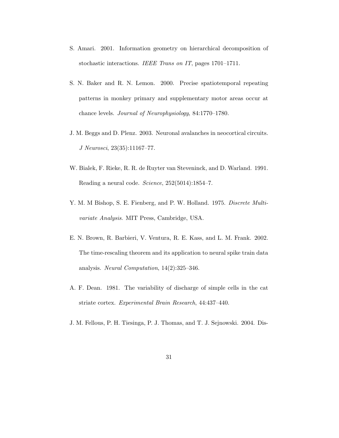- S. Amari. 2001. Information geometry on hierarchical decomposition of stochastic interactions. *IEEE Trans on IT*, pages 1701–1711.
- S. N. Baker and R. N. Lemon. 2000. Precise spatiotemporal repeating patterns in monkey primary and supplementary motor areas occur at chance levels. *Journal of Neurophysiology*, 84:1770–1780.
- J. M. Beggs and D. Plenz. 2003. Neuronal avalanches in neocortical circuits. *J Neurosci*, 23(35):11167–77.
- W. Bialek, F. Rieke, R. R. de Ruyter van Steveninck, and D. Warland. 1991. Reading a neural code. *Science*, 252(5014):1854–7.
- Y. M. M Bishop, S. E. Fienberg, and P. W. Holland. 1975. *Discrete Multivariate Analysis*. MIT Press, Cambridge, USA.
- E. N. Brown, R. Barbieri, V. Ventura, R. E. Kass, and L. M. Frank. 2002. The time-rescaling theorem and its application to neural spike train data analysis. *Neural Computation*, 14(2):325–346.
- A. F. Dean. 1981. The variability of discharge of simple cells in the cat striate cortex. *Experimental Brain Research*, 44:437–440.
- J. M. Fellous, P. H. Tiesinga, P. J. Thomas, and T. J. Sejnowski. 2004. Dis-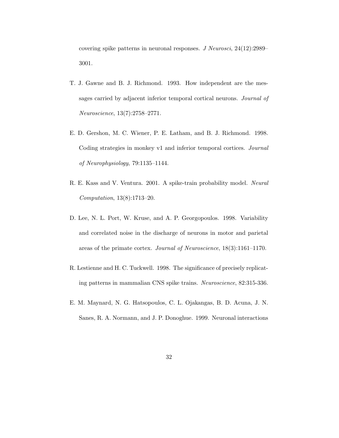covering spike patterns in neuronal responses. *J Neurosci*, 24(12):2989– 3001.

- T. J. Gawne and B. J. Richmond. 1993. How independent are the messages carried by adjacent inferior temporal cortical neurons. *Journal of Neuroscience*, 13(7):2758–2771.
- E. D. Gershon, M. C. Wiener, P. E. Latham, and B. J. Richmond. 1998. Coding strategies in monkey v1 and inferior temporal cortices. *Journal of Neurophysiology*, 79:1135–1144.
- R. E. Kass and V. Ventura. 2001. A spike-train probability model. *Neural Computation*, 13(8):1713–20.
- D. Lee, N. L. Port, W. Kruse, and A. P. Georgopoulos. 1998. Variability and correlated noise in the discharge of neurons in motor and parietal areas of the primate cortex. *Journal of Neuroscience*, 18(3):1161–1170.
- R. Lestienne and H. C. Tuckwell. 1998. The significance of precisely replicating patterns in mammalian CNS spike trains. *Neuroscience*, 82:315-336.
- E. M. Maynard, N. G. Hatsopoulos, C. L. Ojakangas, B. D. Acuna, J. N. Sanes, R. A. Normann, and J. P. Donoghue. 1999. Neuronal interactions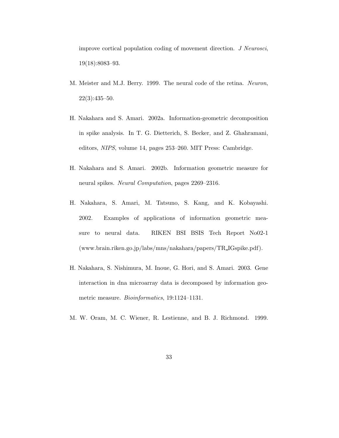improve cortical population coding of movement direction. *J Neurosci*, 19(18):8083–93.

- M. Meister and M.J. Berry. 1999. The neural code of the retina. *Neuron*,  $22(3):435-50.$
- H. Nakahara and S. Amari. 2002a. Information-geometric decomposition in spike analysis. In T. G. Dietterich, S. Becker, and Z. Ghahramani, editors, *NIPS*, volume 14, pages 253–260. MIT Press: Cambridge.
- H. Nakahara and S. Amari. 2002b. Information geometric measure for neural spikes. *Neural Computation*, pages 2269–2316.
- H. Nakahara, S. Amari, M. Tatsuno, S. Kang, and K. Kobayashi. 2002. Examples of applications of information geometric measure to neural data. RIKEN BSI BSIS Tech Report No02-1 (www.brain.riken.go.jp/labs/mns/nakahara/papers/TR IGspike.pdf).
- H. Nakahara, S. Nishimura, M. Inoue, G. Hori, and S. Amari. 2003. Gene interaction in dna microarray data is decomposed by information geometric measure. *Bioinformatics*, 19:1124–1131.
- M. W. Oram, M. C. Wiener, R. Lestienne, and B. J. Richmond. 1999.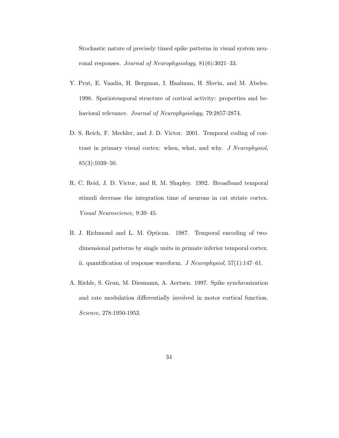Stochastic nature of precisely timed spike patterns in visual system neuronal responses. *Journal of Neurophysiology*, 81(6):3021–33.

- Y. Prut, E. Vaadia, H. Bergman, I. Haalman, H. Slovin, and M. Abeles. 1998. Spatiotemporal structure of cortical activity: properties and behavioral relevance. *Journal of Neurophysiology*, 79:2857-2874.
- D. S. Reich, F. Mechler, and J. D. Victor. 2001. Temporal coding of contrast in primary visual cortex: when, what, and why. *J Neurophysiol*,  $85(3):1039-50.$
- R. C. Reid, J. D. Victor, and R. M. Shapley. 1992. Broadband temporal stimuli decrease the integration time of neurons in cat striate cortex. *Visual Neuroscience*, 9:39–45.
- B. J. Richmond and L. M. Optican. 1987. Temporal encoding of twodimensional patterns by single units in primate inferior temporal cortex. ii. quantification of response waveform. *J Neurophysiol*, 57(1):147–61.
- A. Riehle, S. Grun, M. Diesmann, A. Aertsen. 1997. Spike synchronization and rate modulation differentially involved in motor cortical function. *Science*, 278:1950-1953.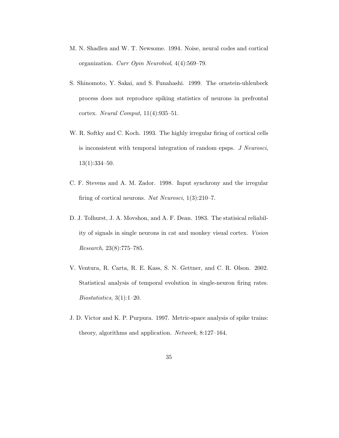- M. N. Shadlen and W. T. Newsome. 1994. Noise, neural codes and cortical organization. *Curr Opin Neurobiol*, 4(4):569–79.
- S. Shinomoto, Y. Sakai, and S. Funahashi. 1999. The ornstein-uhlenbeck process does not reproduce spiking statistics of neurons in prefrontal cortex. *Neural Comput*, 11(4):935–51.
- W. R. Softky and C. Koch. 1993. The highly irregular firing of cortical cells is inconsistent with temporal integration of random epsps. *J Neurosci*, 13(1):334–50.
- C. F. Stevens and A. M. Zador. 1998. Input synchrony and the irregular firing of cortical neurons. *Nat Neurosci*, 1(3):210–7.
- D. J. Tolhurst, J. A. Movshon, and A. F. Dean. 1983. The statisical reliability of signals in single neurons in cat and monkey visual cortex. *Vision Research*, 23(8):775–785.
- V. Ventura, R. Carta, R. E. Kass, S. N. Gettner, and C. R. Olson. 2002. Statistical analysis of temporal evolution in single-neuron firing rates. *Biostatistics*, 3(1):1–20.
- J. D. Victor and K. P. Purpura. 1997. Metric-space analysis of spike trains: theory, algorithms and application. *Network*, 8:127–164.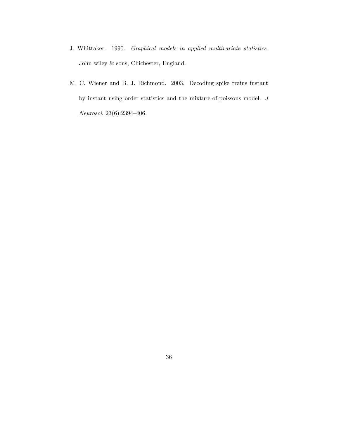- J. Whittaker. 1990. *Graphical models in applied multivariate statistics*. John wiley & sons, Chichester, England.
- M. C. Wiener and B. J. Richmond. 2003. Decoding spike trains instant by instant using order statistics and the mixture-of-poissons model. *J Neurosci*, 23(6):2394–406.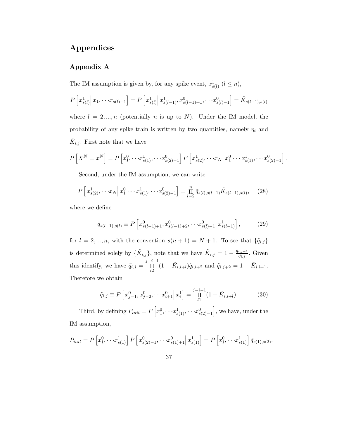## **Appendices**

### **Appendix A**

The IM assumption is given by, for any spike event,  $x_{s(l)}^1$   $(l \leq n)$ ,

$$
P\left[x_{s(l)}^1 \middle| x_1, \cdots x_{s(l)-1}\right] = P\left[x_{s(l)}^1 \middle| x_{s(l-1)}^1, x_{s(l-1)+1}^0, \cdots x_{s(l)-1}^0\right] = \tilde{K}_{s(l-1),s(l)}
$$
  
where  $l = 2, ..., n$  (potentially *n* is up to *N*). Under the IM model, the  
probability of any spike train is written by two quantities, namely  $\eta_i$  and  
 $\tilde{K}_{i,j}$ . First note that we have

$$
P\left[X^N = x^N\right] = P\left[x_1^0, \cdots x_{s(1)}^1, \cdots x_{s(2)-1}^0\right] P\left[x_{s(2)}^1, \cdots x_N \middle| x_1^0 \cdots x_{s(1)}^1, \cdots x_{s(2)-1}^0\right].
$$

Second, under the IM assumption, we can write

$$
P\left[x_{s(2)}^1, \cdots x_N \middle| x_1^0 \cdots x_{s(1)}^1, \cdots x_{s(2)-1}^0\right] = \prod_{l=2}^n \tilde{q}_{s(l), s(l+1)} \tilde{K}_{s(l-1), s(l)}, \quad (28)
$$

where we define

$$
\tilde{q}_{s(l-1),s(l)} \equiv P\left[x_{s(l-1)+1}^0, x_{s(l-1)+2}^0, \cdots, x_{s(l)-1}^0 \middle| x_{s(l-1)}^1 \right],\tag{29}
$$

for  $l = 2, ..., n$ , with the convention  $s(n + 1) = N + 1$ . To see that  $\{\tilde{q}_{i,j}\}$ is determined solely by  $\{\tilde{K}_{i,j}\}\$ , note that we have  $\tilde{K}_{i,j} = 1 - \frac{\tilde{q}_{i,j+1}}{\tilde{q}_{i,j}}\$ . Given this identify, we have  $\tilde{q}_{i,j} = \prod_{l=1}^{j-i-1} (1 - \tilde{K}_{i,i+l}) \tilde{q}_{i,i+2}$  and  $\tilde{q}_{i,j+2} = 1 - \tilde{K}_{i,i+1}$ . Therefore we obtain

$$
\tilde{q}_{i,j} \equiv P\left[x_{j-1}^0, x_{j-2}^0, \cdots, x_{i+1}^0 \middle| x_i^1\right] = \prod_{l=1}^{j-i-1} (1 - \tilde{K}_{i,i+l}).\tag{30}
$$

Third, by defining  $P_{init} = P\left[x_1^0, \dots, x_{s(1)}^1, \dots, x_{s(2)-1}^0\right]$ , we have, under the IM assumption,

$$
P_{init} = P\left[x_1^0, \cdots x_{s(1)}^1\right] P\left[x_{s(2)-1}^0, \cdots x_{s(1)+1}^0 \middle| x_{s(1)}^1\right] = P\left[x_1^0, \cdots x_{s(1)}^1\right] \tilde{q}_{s(1),s(2)}.
$$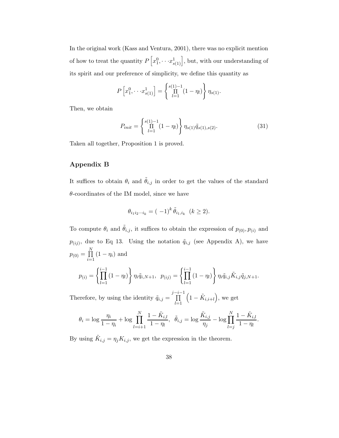In the original work (Kass and Ventura, 2001), there was no explicit mention of how to treat the quantity  $P\left[x_1^0, \cdots x_{s(1)}^1\right]$ , but, with our understanding of its spirit and our preference of simplicity, we define this quantity as

$$
P\left[x_1^0, \cdots x_{s(1)}^1\right] = \left\{\prod_{l=1}^{s(1)-1} (1-\eta_l)\right\} \eta_{s(1)}.
$$

Then, we obtain

$$
P_{init} = \left\{ \prod_{l=1}^{s(1)-1} (1 - \eta_l) \right\} \eta_{s(1)} \tilde{q}_{s(1), s(2)}.
$$
 (31)

Taken all together, Proposition 1 is proved.

#### **Appendix B**

It suffices to obtain  $\theta_i$  and  $\tilde{\theta}_{i,j}$  in order to get the values of the standard  $\theta$ -coordinates of the IM model, since we have

$$
\theta_{i_1 i_2 \cdots i_k} = (-1)^k \tilde{\theta}_{i_1, i_k} \quad (k \ge 2).
$$

To compute  $\theta_i$  and  $\tilde{\theta}_{i,j}$ , it suffices to obtain the expression of  $p_{(0)}, p_{(i)}$  and  $p_{(ij)}$ , due to Eq 13. Using the notation  $\tilde{q}_{i,j}$  (see Appendix A), we have  $p_{(0)} = \prod^{N}$  $\prod_{i=1} (1 - \eta_i)$  and  $\left\{\prod_{i=1}^{i-1}(1-\eta_i)\right\}$ <u>)</u>  $\int\limits_{0}^{i-1}(1-\eta_{l})$  $\Big\}\, \eta_i \tilde{q}_{i,j} \tilde{K}_{i,j} \tilde{q}_{j,N+1}.$ 

$$
p_{(i)} = \left\{ \prod_{l=1} (1 - \eta_l) \right\} \eta_i \tilde{q}_{i,N+1}, \quad p_{(ij)} = \left\{ \prod_{l=1} (1 - \eta_l) \right\} \eta_i \tilde{q}_{i,j} K_{i,j} \tilde{q}_{j,N+1}
$$

Therefore, by using the identity  $\tilde{q}_{i,j} = \prod^{j-i-1}$  $_{l=1}$  $(1-\tilde{K}_{i,i+l}),$  we get

$$
\theta_i = \log \frac{\eta_i}{1 - \eta_i} + \log \prod_{l=i+1}^N \frac{1 - \tilde{K}_{i,l}}{1 - \eta_l}, \quad \tilde{\theta}_{i,j} = \log \frac{\tilde{K}_{i,j}}{\eta_j} - \log \prod_{l=j}^N \frac{1 - \tilde{K}_{i,l}}{1 - \eta_l}.
$$

By using  $\tilde{K}_{i,j} = \eta_j K_{i,j}$ , we get the expression in the theorem.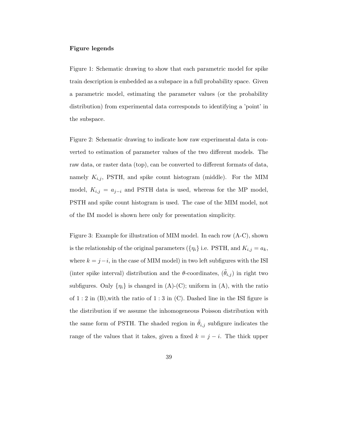#### **Figure legends**

Figure 1: Schematic drawing to show that each parametric model for spike train description is embedded as a subspace in a full probability space. Given a parametric model, estimating the parameter values (or the probability distribution) from experimental data corresponds to identifying a 'point' in the subspace.

Figure 2: Schematic drawing to indicate how raw experimental data is converted to estimation of parameter values of the two different models. The raw data, or raster data (top), can be converted to different formats of data, namely  $K_{i,j}$ , PSTH, and spike count histogram (middle). For the MIM model,  $K_{i,j} = a_{j-i}$  and PSTH data is used, whereas for the MP model, PSTH and spike count histogram is used. The case of the MIM model, not of the IM model is shown here only for presentation simplicity.

Figure 3: Example for illustration of MIM model. In each row (A-C), shown is the relationship of the original parameters ( $\{\eta_i\}$  i.e. PSTH, and  $K_{i,j} = a_k$ , where  $k = j - i$ , in the case of MIM model) in two left subfigures with the ISI (inter spike interval) distribution and the  $\theta$ -coordinates,  $(\hat{\theta}_{i,j})$  in right two subfigures. Only  $\{\eta_i\}$  is changed in (A)-(C); uniform in (A), with the ratio of  $1:2$  in  $(B)$ , with the ratio of  $1:3$  in  $(C)$ . Dashed line in the ISI figure is the distribution if we assume the inhomogeneous Poisson distribution with the same form of PSTH. The shaded region in  $\theta_{i,j}$  subfigure indicates the range of the values that it takes, given a fixed  $k = j - i$ . The thick upper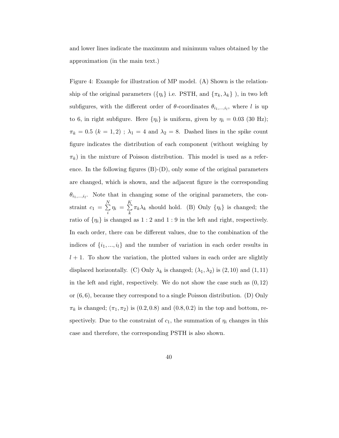and lower lines indicate the maximum and minimum values obtained by the approximation (in the main text.)

Figure 4: Example for illustration of MP model. (A) Shown is the relationship of the original parameters ( $\{\eta_i\}$  i.e. PSTH, and  $\{\pi_k,\lambda_k\}$  ), in two left subfigures, with the different order of  $\theta$ -coordinates  $\theta_{i_1,\dots,i_l}$ , where l is up to 6, in right subfigure. Here  $\{\eta_i\}$  is uniform, given by  $\eta_i = 0.03$  (30 Hz);  $\pi_k = 0.5$   $(k = 1, 2)$ ;  $\lambda_1 = 4$  and  $\lambda_2 = 8$ . Dashed lines in the spike count figure indicates the distribution of each component (without weighing by  $\pi_k$ ) in the mixture of Poisson distribution. This model is used as a reference. In the following figures  $(B)-(D)$ , only some of the original parameters are changed, which is shown, and the adjacent figure is the corresponding  $\theta_{i_1,\dots,i_l}$ . Note that in changing some of the original parameters, the constraint  $c_1 = \sum_{i=1}^{N}$  $\sum_{i=1}^{N} \eta_i = \sum_{k=1}^{K}$  $\sum_{k} \pi_{k} \lambda_{k}$  should hold. (B) Only  $\{\eta_{i}\}\$ is changed; the ratio of  $\{\eta_i\}$  is changed as  $1:2$  and  $1:9$  in the left and right, respectively. In each order, there can be different values, due to the combination of the indices of  $\{i_1, ..., i_l\}$  and the number of variation in each order results in  $l + 1$ . To show the variation, the plotted values in each order are slightly displaced horizontally. (C) Only  $\lambda_k$  is changed;  $(\lambda_1, \lambda_2)$  is  $(2, 10)$  and  $(1, 11)$ in the left and right, respectively. We do not show the case such as  $(0, 12)$ or  $(6, 6)$ , because they correspond to a single Poisson distribution. (D) Only  $\pi_k$  is changed;  $(\pi_1, \pi_2)$  is  $(0.2, 0.8)$  and  $(0.8, 0.2)$  in the top and bottom, respectively. Due to the constraint of  $c_1$ , the summation of  $\eta_i$  changes in this case and therefore, the corresponding PSTH is also shown.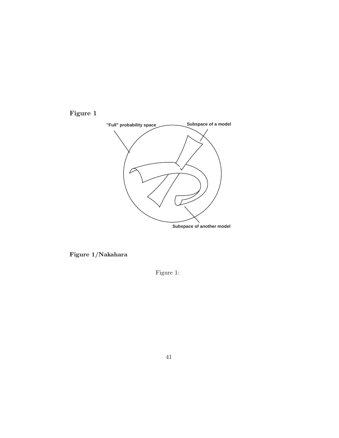



**Figure 1/Nakahara**

Figure 1: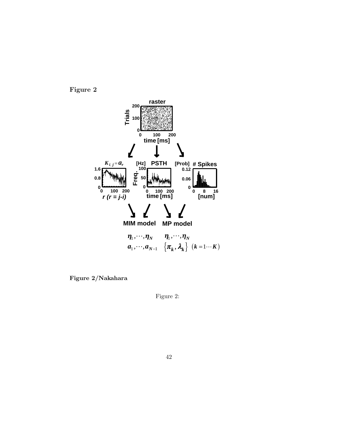



**Figure 2/Nakahara**

Figure 2: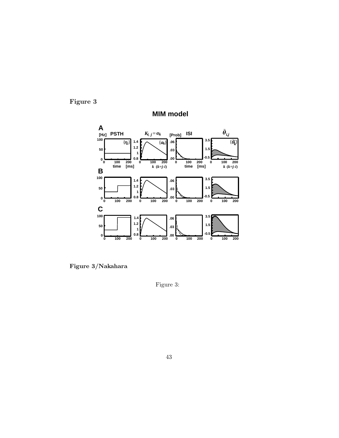**Figure 3**



**MIM model**

**Figure 3/Nakahara**

Figure 3: